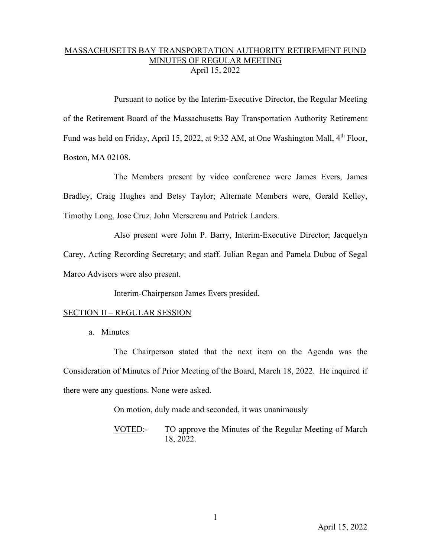## MASSACHUSETTS BAY TRANSPORTATION AUTHORITY RETIREMENT FUND MINUTES OF REGULAR MEETING April 15, 2022

Pursuant to notice by the Interim-Executive Director, the Regular Meeting of the Retirement Board of the Massachusetts Bay Transportation Authority Retirement Fund was held on Friday, April 15, 2022, at 9:32 AM, at One Washington Mall, 4<sup>th</sup> Floor, Boston, MA 02108.

The Members present by video conference were James Evers, James Bradley, Craig Hughes and Betsy Taylor; Alternate Members were, Gerald Kelley, Timothy Long, Jose Cruz, John Mersereau and Patrick Landers.

Also present were John P. Barry, Interim-Executive Director; Jacquelyn

Carey, Acting Recording Secretary; and staff. Julian Regan and Pamela Dubuc of Segal Marco Advisors were also present.

Interim-Chairperson James Evers presided.

## SECTION II – REGULAR SESSION

a. Minutes

The Chairperson stated that the next item on the Agenda was the Consideration of Minutes of Prior Meeting of the Board, March 18, 2022. He inquired if there were any questions. None were asked.

On motion, duly made and seconded, it was unanimously

VOTED:- TO approve the Minutes of the Regular Meeting of March 18, 2022.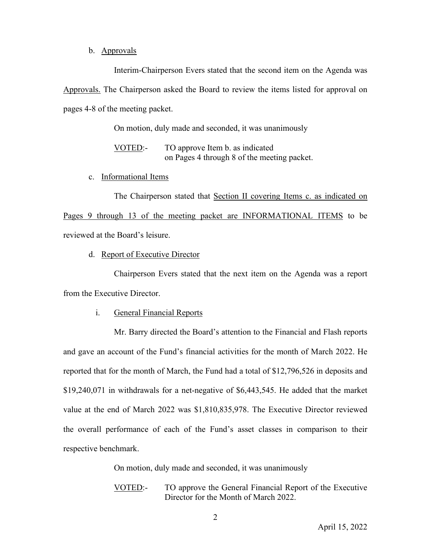## b. Approvals

Interim-Chairperson Evers stated that the second item on the Agenda was Approvals. The Chairperson asked the Board to review the items listed for approval on pages 4-8 of the meeting packet.

On motion, duly made and seconded, it was unanimously

VOTED:- TO approve Item b. as indicated on Pages 4 through 8 of the meeting packet.

c. Informational Items

The Chairperson stated that Section II covering Items c. as indicated on Pages 9 through 13 of the meeting packet are INFORMATIONAL ITEMS to be reviewed at the Board's leisure.

d. Report of Executive Director

Chairperson Evers stated that the next item on the Agenda was a report from the Executive Director.

i. General Financial Reports

Mr. Barry directed the Board's attention to the Financial and Flash reports and gave an account of the Fund's financial activities for the month of March 2022. He reported that for the month of March, the Fund had a total of \$12,796,526 in deposits and \$19,240,071 in withdrawals for a net-negative of \$6,443,545. He added that the market value at the end of March 2022 was \$1,810,835,978. The Executive Director reviewed the overall performance of each of the Fund's asset classes in comparison to their respective benchmark.

On motion, duly made and seconded, it was unanimously

VOTED:- TO approve the General Financial Report of the Executive Director for the Month of March 2022.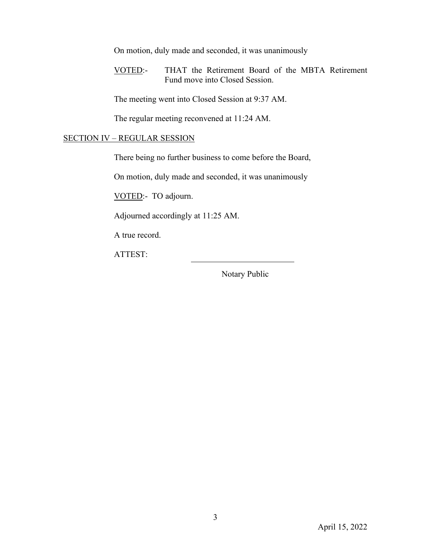On motion, duly made and seconded, it was unanimously

VOTED:- THAT the Retirement Board of the MBTA Retirement Fund move into Closed Session.

The meeting went into Closed Session at 9:37 AM.

The regular meeting reconvened at 11:24 AM.

## SECTION IV – REGULAR SESSION

There being no further business to come before the Board,

On motion, duly made and seconded, it was unanimously

VOTED:- TO adjourn.

Adjourned accordingly at 11:25 AM.

A true record.

ATTEST:

Notary Public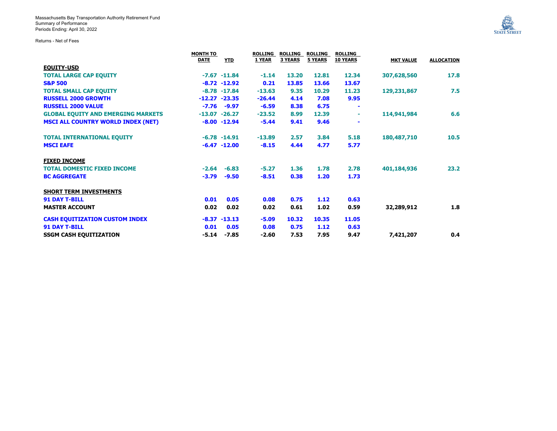Returns - Net of Fees



|                                           | MONTH TO    |                 |          | ROLLING        | <b>ROLLING</b> | <b>ROLLING</b>  |                  |                   |
|-------------------------------------------|-------------|-----------------|----------|----------------|----------------|-----------------|------------------|-------------------|
|                                           | <b>DATE</b> | <b>YTD</b>      | 1 YEAR   | <b>3 YEARS</b> | <b>5 YEARS</b> | <b>10 YEARS</b> | <b>MKT VALUE</b> | <b>ALLOCATION</b> |
| <b>EQUITY-USD</b>                         |             |                 |          |                |                |                 |                  |                   |
| <b>TOTAL LARGE CAP EQUITY</b>             |             | $-7.67 - 11.84$ | $-1.14$  | 13.20          | 12.81          | 12.34           | 307,628,560      | 17.8              |
| <b>S&amp;P 500</b>                        |             | $-8.72 - 12.92$ | 0.21     | 13.85          | 13.66          | 13.67           |                  |                   |
| <b>TOTAL SMALL CAP EQUITY</b>             |             | $-8.78 - 17.84$ | $-13.63$ | 9.35           | 10.29          | 11.23           | 129,231,867      | 7.5               |
| <b>RUSSELL 2000 GROWTH</b>                |             | $-12.27 -23.35$ | $-26.44$ | 4.14           | 7.08           | 9.95            |                  |                   |
| <b>RUSSELL 2000 VALUE</b>                 | $-7.76$     | $-9.97$         | $-6.59$  | 8.38           | 6.75           |                 |                  |                   |
| <b>GLOBAL EQUITY AND EMERGING MARKETS</b> |             | $-13.07 -26.27$ | $-23.52$ | 8.99           | 12.39          | $\sim$          | 114,941,984      | 6.6               |
| <b>MSCI ALL COUNTRY WORLD INDEX (NET)</b> |             | $-8.00 - 12.94$ | $-5.44$  | 9.41           | 9.46           |                 |                  |                   |
| <b>TOTAL INTERNATIONAL EQUITY</b>         |             | $-6.78 - 14.91$ | $-13.89$ | 2.57           | 3.84           | 5.18            | 180,487,710      | 10.5              |
| <b>MSCI EAFE</b>                          |             | $-6.47 - 12.00$ | $-8.15$  | 4.44           | 4.77           | 5.77            |                  |                   |
| <b>FIXED INCOME</b>                       |             |                 |          |                |                |                 |                  |                   |
| <b>TOTAL DOMESTIC FIXED INCOME</b>        | $-2.64$     | $-6.83$         | $-5.27$  | 1.36           | 1.78           | 2.78            | 401,184,936      | 23.2              |
| <b>BC AGGREGATE</b>                       | $-3.79$     | $-9.50$         | $-8.51$  | 0.38           | 1.20           | 1.73            |                  |                   |
| <b>SHORT TERM INVESTMENTS</b>             |             |                 |          |                |                |                 |                  |                   |
| <b>91 DAY T-BILL</b>                      | 0.01        | 0.05            | 0.08     | 0.75           | 1.12           | 0.63            |                  |                   |
| <b>MASTER ACCOUNT</b>                     | 0.02        | 0.02            | 0.02     | 0.61           | 1.02           | 0.59            | 32,289,912       | 1.8               |
| <b>CASH EQUITIZATION CUSTOM INDEX</b>     |             | $-8.37 - 13.13$ | $-5.09$  | 10.32          | 10.35          | 11.05           |                  |                   |
| <b>91 DAY T-BILL</b>                      | 0.01        | 0.05            | 0.08     | 0.75           | 1.12           | 0.63            |                  |                   |
| <b>SSGM CASH EQUITIZATION</b>             | -5.14       | -7.85           | $-2.60$  | 7.53           | 7.95           | 9.47            | 7,421,207        | 0.4               |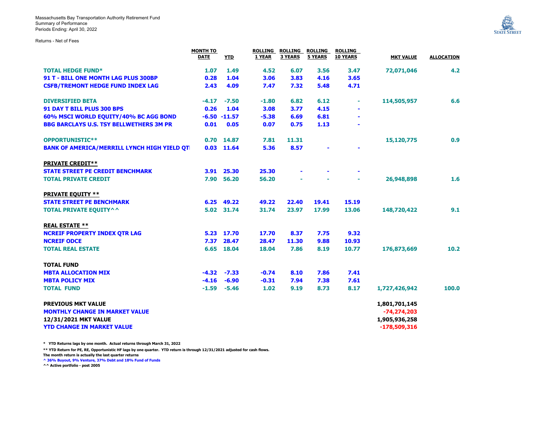Massachusetts Bay Transportation Authority Retirement Fund Summary of Performance Periods Ending: April 30, 2022

Returns - Net of Fees



|                                                     | <b>MONTH TO</b><br><b>DATE</b> | <b>YTD</b>      | 1 YEAR  | <b>3 YEARS</b> | ROLLING ROLLING ROLLING<br>5 YEARS | <b>ROLLING</b><br><b>10 YEARS</b> | <b>MKT VALUE</b> | <b>ALLOCATION</b> |
|-----------------------------------------------------|--------------------------------|-----------------|---------|----------------|------------------------------------|-----------------------------------|------------------|-------------------|
|                                                     |                                |                 |         |                |                                    |                                   |                  |                   |
| <b>TOTAL HEDGE FUND*</b>                            | 1.07                           | 1.49            | 4.52    | 6.07           | 3.56                               | 3.47                              | 72,071,046       | 4.2               |
| 91 T - BILL ONE MONTH LAG PLUS 300BP                | 0.28                           | 1.04            | 3.06    | 3.83           | 4.16                               | 3.65                              |                  |                   |
| <b>CSFB/TREMONT HEDGE FUND INDEX LAG</b>            | 2.43                           | 4.09            | 7.47    | 7.32           | 5.48                               | 4.71                              |                  |                   |
| <b>DIVERSIFIED BETA</b>                             | $-4.17$                        | $-7.50$         | $-1.80$ | 6.82           | 6.12                               | ÷                                 | 114,505,957      | 6.6               |
| <b>91 DAY T BILL PLUS 300 BPS</b>                   | 0.26                           | 1.04            | 3.08    | 3.77           | 4.15                               | $\blacksquare$                    |                  |                   |
| 60% MSCI WORLD EQUITY/40% BC AGG BOND               |                                | $-6.50 - 11.57$ | $-5.38$ | 6.69           | 6.81                               | $\blacksquare$                    |                  |                   |
| <b>BBG BARCLAYS U.S. TSY BELLWETHERS 3M PR</b>      | 0.01                           | 0.05            | 0.07    | 0.75           | 1.13                               |                                   |                  |                   |
| <b>OPPORTUNISTIC**</b>                              |                                | 0.70 14.87      | 7.81    | 11.31          |                                    |                                   | 15,120,775       | 0.9               |
| <b>BANK OF AMERICA/MERRILL LYNCH HIGH YIELD QTI</b> |                                | $0.03$ 11.64    | 5.36    | 8.57           |                                    |                                   |                  |                   |
| <b>PRIVATE CREDIT**</b>                             |                                |                 |         |                |                                    |                                   |                  |                   |
| <b>STATE STREET PE CREDIT BENCHMARK</b>             |                                | 3.91 25.30      | 25.30   |                |                                    |                                   |                  |                   |
| <b>TOTAL PRIVATE CREDIT</b>                         | 7.90                           | 56.20           | 56.20   |                |                                    | ÷                                 | 26,948,898       | 1.6               |
| <b>PRIVATE EQUITY **</b>                            |                                |                 |         |                |                                    |                                   |                  |                   |
| <b>STATE STREET PE BENCHMARK</b>                    |                                | 6.25 49.22      | 49.22   | 22.40          | 19.41                              | 15.19                             |                  |                   |
| <b>TOTAL PRIVATE EQUITY^^</b>                       |                                | 5.02 31.74      | 31.74   | 23.97          | 17.99                              | 13.06                             | 148,720,422      | 9.1               |
| <b>REAL ESTATE **</b>                               |                                |                 |         |                |                                    |                                   |                  |                   |
| <b>NCREIF PROPERTY INDEX QTR LAG</b>                | 5.23                           | 17.70           | 17.70   | 8.37           | 7.75                               | 9.32                              |                  |                   |
| <b>NCREIF ODCE</b>                                  | 7.37                           | 28.47           | 28.47   | 11.30          | 9.88                               | 10.93                             |                  |                   |
| <b>TOTAL REAL ESTATE</b>                            | 6.65                           | 18.04           | 18.04   | 7.86           | 8.19                               | 10.77                             | 176,873,669      | 10.2              |
| <b>TOTAL FUND</b>                                   |                                |                 |         |                |                                    |                                   |                  |                   |
| <b>MBTA ALLOCATION MIX</b>                          | -4.32                          | $-7.33$         | $-0.74$ | 8.10           | 7.86                               | 7.41                              |                  |                   |
| <b>MBTA POLICY MIX</b>                              | $-4.16$                        | $-6.90$         | $-0.31$ | 7.94           | 7.38                               | 7.61                              |                  |                   |
| <b>TOTAL FUND</b>                                   | $-1.59$                        | $-5.46$         | 1.02    | 9.19           | 8.73                               | 8.17                              | 1,727,426,942    | 100.0             |
| <b>PREVIOUS MKT VALUE</b>                           |                                |                 |         |                |                                    |                                   | 1,801,701,145    |                   |
| <b>MONTHLY CHANGE IN MARKET VALUE</b>               |                                |                 |         |                |                                    |                                   | $-74,274,203$    |                   |
| 12/31/2021 MKT VALUE                                |                                |                 |         |                |                                    |                                   | 1,905,936,258    |                   |
| <b>YTD CHANGE IN MARKET VALUE</b>                   |                                |                 |         |                |                                    |                                   | $-178,509,316$   |                   |

**\* YTD Returns lags by one month. Actual returns through March 31, 2022**

**\*\* YTD Return for PE, RE, Opportunistic HF lags by one quarter. YTD return is through 12/31/2021 adjusted for cash flows. The month return is actually the last quarter returns**

**^ 36% Buyout, 9% Venture, 37% Debt and 18% Fund of Funds ^^ Active portfolio - post 2005**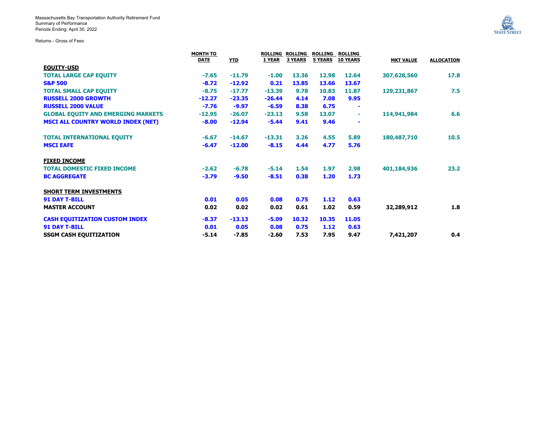Massachusetts Bay Transportation Authority Retirement Fund Summary of Performance Periods Ending: April 30, 2022

Returns - Gross of Fees

| <b>STATE STREET</b> |  |
|---------------------|--|
|                     |  |

|                                           | <b>MONTH TO</b> |            |          |                |                | ROLLING ROLLING ROLLING ROLLING |                  |                   |
|-------------------------------------------|-----------------|------------|----------|----------------|----------------|---------------------------------|------------------|-------------------|
|                                           | <b>DATE</b>     | <b>YTD</b> | 1 YEAR   | <b>3 YEARS</b> | <b>5 YEARS</b> | <b>10 YEARS</b>                 | <b>MKT VALUE</b> | <b>ALLOCATION</b> |
| <b>EQUITY-USD</b>                         |                 |            |          |                |                |                                 |                  |                   |
| <b>TOTAL LARGE CAP EQUITY</b>             | $-7.65$         | $-11.79$   | $-1.00$  | 13.36          | 12.98          | 12.64                           | 307,628,560      | 17.8              |
| <b>S&amp;P 500</b>                        | $-8.72$         | $-12.92$   | 0.21     | 13.85          | 13.66          | 13.67                           |                  |                   |
| <b>TOTAL SMALL CAP EQUITY</b>             | $-8.75$         | $-17.77$   | $-13.39$ | 9.78           | 10.83          | 11.87                           | 129,231,867      | 7.5               |
| <b>RUSSELL 2000 GROWTH</b>                | $-12.27$        | $-23.35$   | $-26.44$ | 4.14           | 7.08           | 9.95                            |                  |                   |
| <b>RUSSELL 2000 VALUE</b>                 | $-7.76$         | $-9.97$    | $-6.59$  | 8.38           | 6.75           | $\blacksquare$                  |                  |                   |
| <b>GLOBAL EQUITY AND EMERGING MARKETS</b> | $-12.95$        | $-26.07$   | $-23.13$ | 9.58           | 13.07          | ÷                               | 114,941,984      | 6.6               |
| <b>MSCI ALL COUNTRY WORLD INDEX (NET)</b> | $-8.00$         | $-12.94$   | $-5.44$  | 9.41           | 9.46           | $\sim$                          |                  |                   |
| <b>TOTAL INTERNATIONAL EQUITY</b>         | $-6.67$         | $-14.67$   | $-13.31$ | 3.26           | 4.55           | 5.89                            | 180,487,710      | 10.5              |
| <b>MSCI EAFE</b>                          | $-6.47$         | $-12.00$   | $-8.15$  | 4.44           | 4.77           | 5.76                            |                  |                   |
| <b>FIXED INCOME</b>                       |                 |            |          |                |                |                                 |                  |                   |
| <b>TOTAL DOMESTIC FIXED INCOME</b>        | $-2.62$         | $-6.78$    | $-5.14$  | 1.54           | 1.97           | 2.98                            | 401,184,936      | 23.2              |
| <b>BC AGGREGATE</b>                       | $-3.79$         | $-9.50$    | $-8.51$  | 0.38           | 1.20           | 1.73                            |                  |                   |
| <b>SHORT TERM INVESTMENTS</b>             |                 |            |          |                |                |                                 |                  |                   |
| <b>91 DAY T-BILL</b>                      | 0.01            | 0.05       | 0.08     | 0.75           | 1.12           | 0.63                            |                  |                   |
| <b>MASTER ACCOUNT</b>                     | 0.02            | 0.02       | 0.02     | 0.61           | 1.02           | 0.59                            | 32,289,912       | 1.8               |
| <b>CASH EQUITIZATION CUSTOM INDEX</b>     | $-8.37$         | $-13.13$   | $-5.09$  | 10.32          | 10.35          | 11.05                           |                  |                   |
| <b>91 DAY T-BILL</b>                      | 0.01            | 0.05       | 0.08     | 0.75           | 1.12           | 0.63                            |                  |                   |
| <b>SSGM CASH EQUITIZATION</b>             | $-5.14$         | $-7.85$    | $-2.60$  | 7.53           | 7.95           | 9.47                            | 7,421,207        | 0.4               |